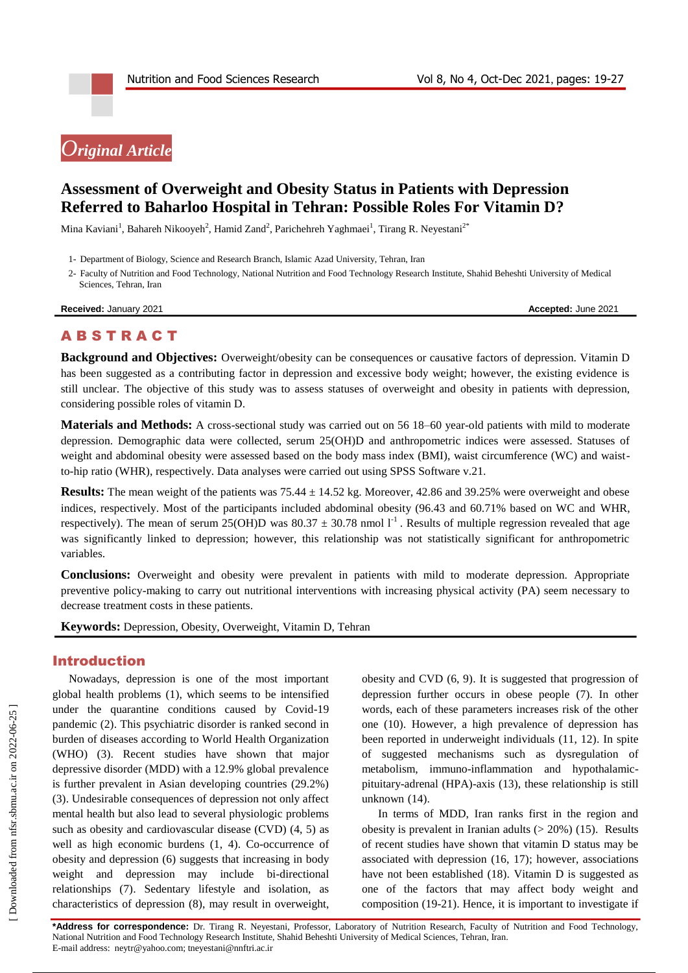# *Original Article*

# **Assessment of Overweight and Obesity Status in Patients with Depression Referred to Baharloo Hospital in Tehran: Possible Roles For Vitamin D?**

Mina Kaviani<sup>1</sup>, Bahareh Nikooyeh<sup>2</sup>, Hamid Zand<sup>2</sup>, Parichehreh Yaghmaei<sup>1</sup>, Tirang R. Neyestani<sup>2\*</sup>

- 1- Department of Biology, Science and Research Branch, Islamic Azad University, Tehran, Iran
- 2- Faculty of Nutrition and Food Technology, National Nutrition and Food Technology Research Institute, Shahid Beheshti University of Medical Sciences, Tehran, Iran

**Received:** January 2021 **Accepted:** June 2021

# **ABSTRACT**

**Background and Objectives:** Overweight/obesity can be consequences or causative factors of depression. Vitamin D has been suggested as a contributing factor in depression and excessive body weight; however, the existing evidence is still unclear. The objective of this study was to assess statuses of overweight and obesity in patients with depression, considering possible roles of vitamin D.

**Materials and Methods:** A cross-sectional study was carried out on 56 18–60 year-old patients with mild to moderate depression. Demographic data were collected, serum 25(OH)D and anthropometric indices were assessed. Statuses of weight and abdominal obesity were assessed based on the body mass index (BMI), waist circumference (WC) and waistto-hip ratio (WHR), respectively. Data analyses were carried out using SPSS Software v.21.

**Results:** The mean weight of the patients was  $75.44 \pm 14.52$  kg. Moreover, 42.86 and 39.25% were overweight and obese indices, respectively. Most of the participants included abdominal obesity (96.43 and 60.71% based on WC and WHR, respectively). The mean of serum 25(OH)D was 80.37  $\pm$  30.78 nmol 1<sup>-1</sup>. Results of multiple regression revealed that age was significantly linked to depression; however, this relationship was not statistically significant for anthropometric variables.

**Conclusions:** Overweight and obesity were prevalent in patients with mild to moderate depression. Appropriate preventive policy-making to carry out nutritional interventions with increasing physical activity (PA) seem necessary to decrease treatment costs in these patients.

**Keywords:** Depression, Obesity, Overweight, Vitamin D, Tehran

# Introduction

Nowadays, depression is one of the most important global health problems (1), which seems to be intensified under the quarantine conditions caused by Covid-19 pandemic (2). This psychiatric disorder is ranked second in burden of diseases according to World Health Organization (WHO) (3). Recent studies have shown that major depressive disorder (MDD) with a 12.9% global prevalence is further prevalent in Asian developing countries (29.2%) (3). Undesirable consequences of depression not only affect mental health but also lead to several physiologic problems such as obesity and cardiovascular disease (CVD) (4, 5) as well as high economic burdens (1, 4). Co-occurrence of obesity and depression (6) suggests that increasing in body weight and depression may include bi-directional relationships (7). Sedentary lifestyle and isolation, as characteristics of depression (8), may result in overweight, obesity and CVD (6, 9). It is suggested that progression of depression further occurs in obese people (7). In other words, each of these parameters increases risk of the other one (10). However, a high prevalence of depression has been reported in underweight individuals (11, 12). In spite of suggested mechanisms such as dysregulation of metabolism, immuno-inflammation and hypothalamicpituitary-adrenal (HPA)-axis (13), these relationship is still unknown (14).

In terms of MDD, Iran ranks first in the region and obesity is prevalent in Iranian adults  $(> 20\%)$  (15). Results of recent studies have shown that vitamin D status may be associated with depression (16, 17); however, associations have not been established (18). Vitamin D is suggested as one of the factors that may affect body weight and composition (19-21). Hence, it is important to investigate if

**\*Address for correspondence:** Dr. Tirang R. Neyestani, Professor, Laboratory of Nutrition Research, Faculty of Nutrition and Food Technology, National Nutrition and Food Technology Research Institute, Shahid Beheshti University of Medical Sciences, Tehran, Iran. E-mail address: neytr@yahoo.com; tneyestani@nnftri.ac.ir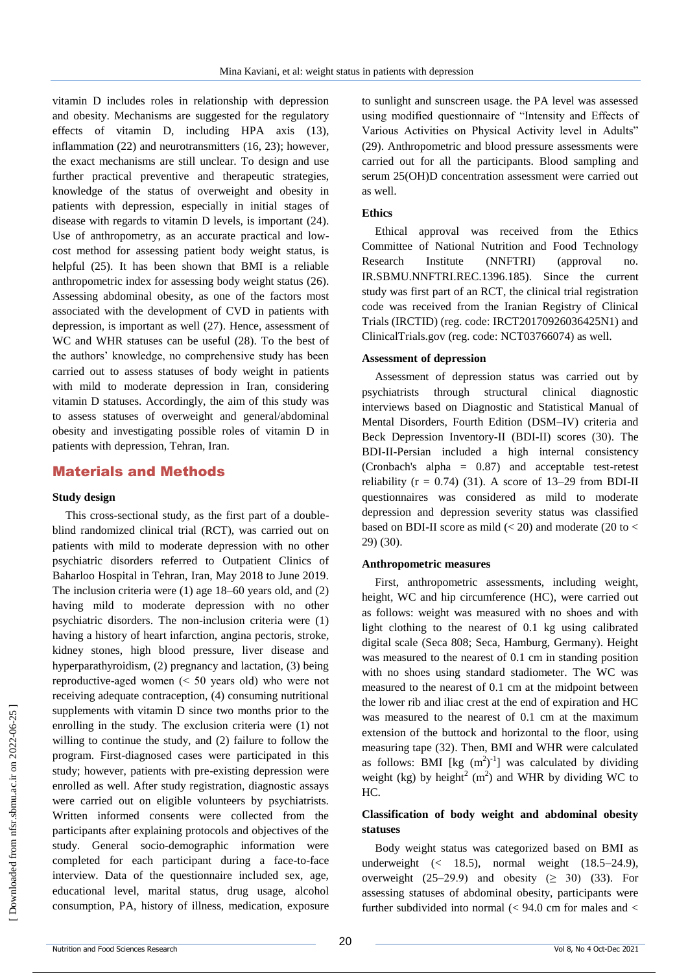vitamin D includes roles in relationship with depression and obesity. Mechanisms are suggested for the regulatory effects of vitamin D, including HPA axis (13), inflammation (22) and neurotransmitters (16, 23); however, the exact mechanisms are still unclear. To design and use further practical preventive and therapeutic strategies, knowledge of the status of overweight and obesity in patients with depression, especially in initial stages of disease with regards to vitamin D levels, is important (24). Use of anthropometry, as an accurate practical and lowcost method for assessing patient body weight status, is helpful (25). It has been shown that BMI is a reliable anthropometric index for assessing body weight status (26). Assessing abdominal obesity, as one of the factors most associated with the development of CVD in patients with depression, is important as well (27). Hence, assessment of WC and WHR statuses can be useful (28). To the best of the authors' knowledge, no comprehensive study has been carried out to assess statuses of body weight in patients with mild to moderate depression in Iran, considering vitamin D statuses. Accordingly, the aim of this study was to assess statuses of overweight and general/abdominal obesity and investigating possible roles of vitamin D in patients with depression, Tehran, Iran.

### Materials and Methods

#### **Study design**

This cross-sectional study, as the first part of a doubleblind randomized clinical trial (RCT), was carried out on patients with mild to moderate depression with no other psychiatric disorders referred to Outpatient Clinics of Baharloo Hospital in Tehran, Iran, May 2018 to June 2019. The inclusion criteria were (1) age 18–60 years old, and (2) having mild to moderate depression with no other psychiatric disorders. The non-inclusion criteria were (1) having a history of heart infarction, angina pectoris, stroke, kidney stones, high blood pressure, liver disease and hyperparathyroidism, (2) pregnancy and lactation, (3) being reproductive-aged women (˂ 50 years old) who were not receiving adequate contraception, (4) consuming nutritional supplements with vitamin D since two months prior to the enrolling in the study. The exclusion criteria were (1) not willing to continue the study, and (2) failure to follow the program. First-diagnosed cases were participated in this study; however, patients with pre-existing depression were enrolled as well. After study registration, diagnostic assays were carried out on eligible volunteers by psychiatrists. Written informed consents were collected from the participants after explaining protocols and objectives of the study. General socio-demographic information were completed for each participant during a face-to-face interview. Data of the questionnaire included sex, age, educational level, marital status, drug usage, alcohol consumption, PA, history of illness, medication, exposure

to sunlight and sunscreen usage. the PA level was assessed using modified questionnaire of "Intensity and Effects of Various Activities on Physical Activity level in Adults" (29). Anthropometric and blood pressure assessments were carried out for all the participants. Blood sampling and serum 25(OH)D concentration assessment were carried out as well.

#### **Ethics**

Ethical approval was received from the Ethics Committee of National Nutrition and Food Technology Research Institute (NNFTRI) (approval no. IR.SBMU.NNFTRI.REC.1396.185). Since the current study was first part of an RCT, the clinical trial registration code was received from the Iranian Registry of Clinical Trials (IRCTID) (reg. code: IRCT20170926036425N1) and ClinicalTrials.gov (reg. code: NCT03766074) as well.

#### **Assessment of depression**

Assessment of depression status was carried out by psychiatrists through structural clinical diagnostic interviews based on Diagnostic and Statistical Manual of Mental Disorders, Fourth Edition (DSM–IV) criteria and Beck Depression Inventory-II (BDI-II) scores (30). The BDI-II-Persian included a high internal consistency (Cronbach's alpha = 0.87) and acceptable test-retest reliability ( $r = 0.74$ ) (31). A score of 13–29 from BDI-II questionnaires was considered as mild to moderate depression and depression severity status was classified based on BDI-II score as mild  $(< 20$ ) and moderate (20 to  $<$ 29) (30).

#### **Anthropometric measures**

First, anthropometric assessments, including weight, height, WC and hip circumference (HC), were carried out as follows: weight was measured with no shoes and with light clothing to the nearest of 0.1 kg using calibrated digital scale (Seca 808; Seca, Hamburg, Germany). Height was measured to the nearest of 0.1 cm in standing position with no shoes using standard stadiometer. The WC was measured to the nearest of 0.1 cm at the midpoint between the lower rib and iliac crest at the end of expiration and HC was measured to the nearest of 0.1 cm at the maximum extension of the buttock and horizontal to the floor, using measuring tape (32). Then, BMI and WHR were calculated as follows: BMI [kg  $(m^2)^{-1}$ ] was calculated by dividing weight (kg) by height<sup>2</sup> (m<sup>2</sup>) and WHR by dividing WC to HC.

### **Classification of body weight and abdominal obesity statuses**

Body weight status was categorized based on BMI as underweight (< 18.5), normal weight (18.5–24.9), overweight  $(25-29.9)$  and obesity  $(≥ 30)$   $(33)$ . For assessing statuses of abdominal obesity, participants were further subdivided into normal  $\ll$  94.0 cm for males and  $\lt$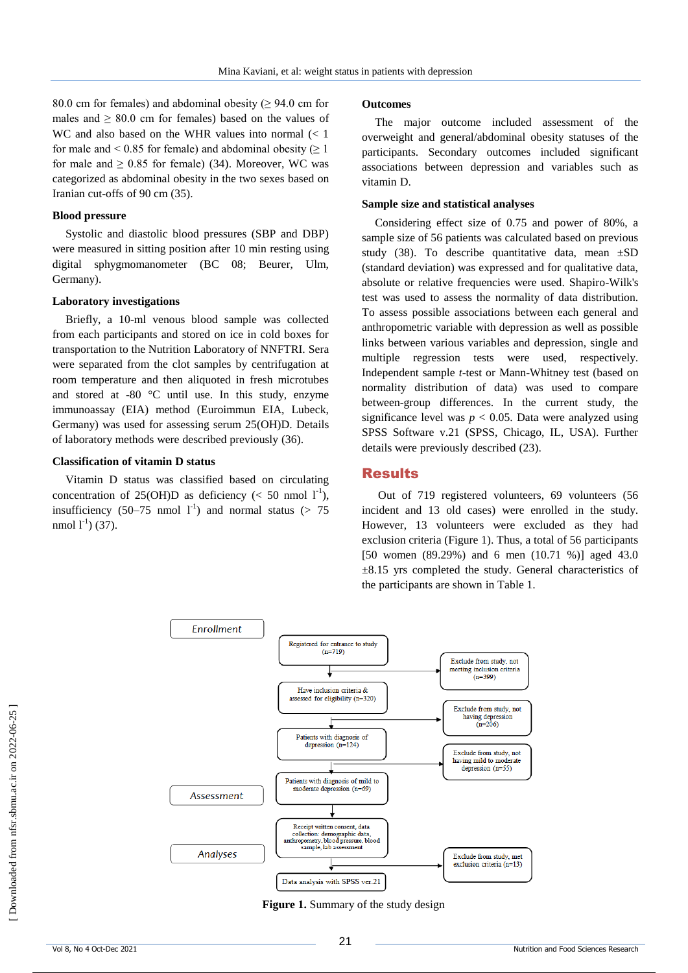80.0 cm for females) and abdominal obesity ( $\geq$  94.0 cm for males and  $\geq 80.0$  cm for females) based on the values of WC and also based on the WHR values into normal  $\ll 1$ for male and < 0.85 for female) and abdominal obesity  $(≥ 1$ for male and  $\geq 0.85$  for female) (34). Moreover, WC was categorized as abdominal obesity in the two sexes based on Iranian cut-offs of 90 cm (35).

#### **Blood pressure**

Systolic and diastolic blood pressures (SBP and DBP) were measured in sitting position after 10 min resting using digital sphygmomanometer (BC 08; Beurer, Ulm, Germany).

#### **Laboratory investigations**

Briefly, a 10-ml venous blood sample was collected from each participants and stored on ice in cold boxes for transportation to the Nutrition Laboratory of NNFTRI. Sera were separated from the clot samples by centrifugation at room temperature and then aliquoted in fresh microtubes and stored at -80 °C until use. In this study, enzyme immunoassay (EIA) method (Euroimmun EIA, Lubeck, Germany) was used for assessing serum 25(OH)D. Details of laboratory methods were described previously (36).

#### **Classification of vitamin D status**

Vitamin D status was classified based on circulating concentration of 25(OH)D as deficiency ( $\lt$  50 nmol 1<sup>-1</sup>), insufficiency (50–75 nmol  $1^{-1}$ ) and normal status (> 75 nmol  $1^{-1}$ ) (37).

#### **Outcomes**

The major outcome included assessment of the overweight and general/abdominal obesity statuses of the participants. Secondary outcomes included significant associations between depression and variables such as vitamin D.

#### **Sample size and statistical analyses**

Considering effect size of 0.75 and power of 80%, a sample size of 56 patients was calculated based on previous study (38). To describe quantitative data, mean  $\pm SD$ (standard deviation) was expressed and for qualitative data, absolute or relative frequencies were used. Shapiro-Wilk's test was used to assess the normality of data distribution. To assess possible associations between each general and anthropometric variable with depression as well as possible links between various variables and depression, single and multiple regression tests were used, respectively. Independent sample *t*-test or Mann-Whitney test (based on normality distribution of data) was used to compare between-group differences. In the current study, the significance level was  $p < 0.05$ . Data were analyzed using SPSS Software v.21 (SPSS, Chicago, IL, USA). Further details were previously described (23).

### Results

Out of 719 registered volunteers, 69 volunteers (56 incident and 13 old cases) were enrolled in the study. However, 13 volunteers were excluded as they had exclusion criteria (Figure 1). Thus, a total of 56 participants [50 women (89.29%) and 6 men (10.71 %)] aged 43.0  $\pm 8.15$  yrs completed the study. General characteristics of the participants are shown in Table 1.



**Figure 1.** Summary of the study design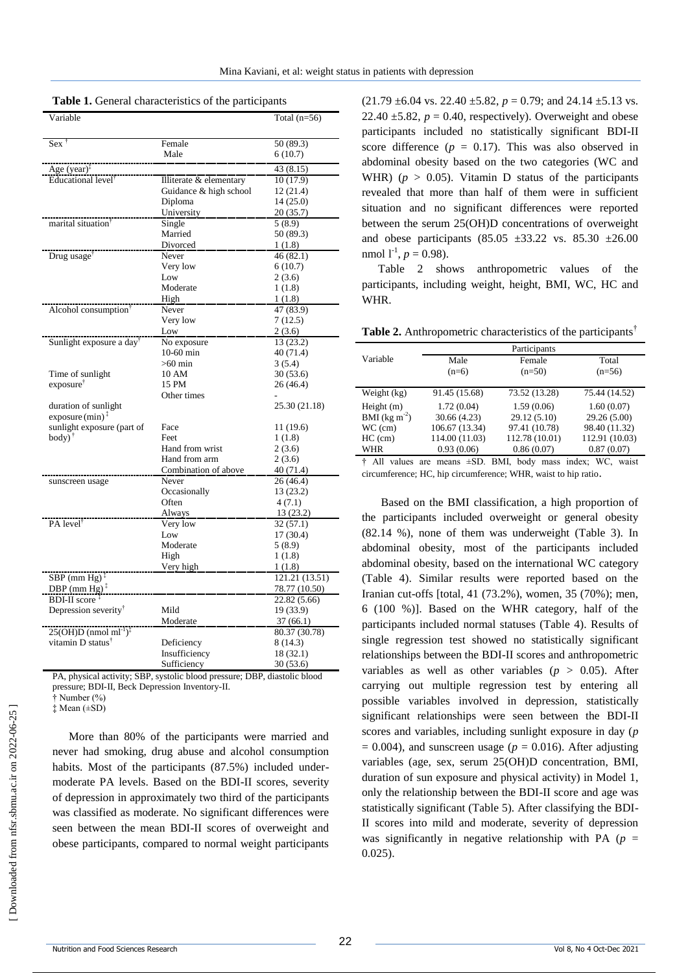| Variable                                        |                         | Total $(n=56)$      |
|-------------------------------------------------|-------------------------|---------------------|
|                                                 |                         |                     |
| $Sex$ <sup><math>\dagger</math></sup>           | Female                  | 50 (89.3)           |
|                                                 | Male                    | 6(10.7)             |
| Age $(year)^{\ddagger}$                         |                         | 43 (8.15)           |
| Educational level <sup>†</sup>                  | Illiterate & elementary | 10(17.9)            |
|                                                 | Guidance & high school  | 12 (21.4)           |
|                                                 | Diploma                 | 14 (25.0)           |
|                                                 | University              | 20 (35.7)           |
| marital situation <sup>†</sup>                  | Single                  | 5(8.9)              |
|                                                 | Married                 | 50 (89.3)           |
|                                                 | Divorced                | 1(1.8)              |
| Drug usage <sup>†</sup>                         | Never                   | 46(82.1)            |
|                                                 | Very low                | 6(10.7)             |
|                                                 | Low                     | 2(3.6)              |
|                                                 | Moderate                | 1(1.8)              |
|                                                 | High                    | 1(1.8)              |
| Alcohol consumption <sup>1</sup>                | Never                   | 47 (83.9)           |
|                                                 | Very low                | 7(12.5)             |
|                                                 | Low                     | 2(3.6)              |
| Sunlight exposure a day <sup>†</sup>            | No exposure             | 13 (23.2)           |
|                                                 | $10-60$ min             | 40 (71.4)           |
|                                                 | $>60$ min               | 3(5.4)              |
| Time of sunlight                                | 10 AM                   | 30(53.6)            |
| exposure <sup>†</sup>                           | 15 PM                   | 26 (46.4)           |
|                                                 | Other times             |                     |
| duration of sunlight                            |                         | 25.30 (21.18)       |
| exposure $(min)^{\ddagger}$                     |                         |                     |
| sunlight exposure (part of                      | Face                    | 11 (19.6)           |
| $body)$ <sup>†</sup>                            | Feet                    | 1(1.8)              |
|                                                 | Hand from wrist         | 2(3.6)              |
|                                                 | Hand from arm           | 2(3.6)              |
|                                                 | Combination of above    | 40 (71.4)           |
| sunscreen usage                                 | Never                   | 26 (46.4)           |
|                                                 | Occasionally<br>Often   | 13 (23.2)<br>4(7.1) |
|                                                 | Always                  | 13 (23.2)           |
| PA level <sup>†</sup>                           | Very low                | 32(57.1)            |
|                                                 | Low                     | 17(30.4)            |
|                                                 | Moderate                | 5(8.9)              |
|                                                 | High                    | 1(1.8)              |
|                                                 | Very high               | 1(1.8)              |
| $SBP$ (mm Hg) <sup><math>\ddagger</math></sup>  |                         | 121.21 (13.51)      |
| DBP (mm $Hg$ ) <sup><math>\ddagger</math></sup> |                         | 78.77 (10.50)       |
| <b>BDI-II</b> score <sup>#</sup>                |                         | 22.82(5.66)         |
| Depression severity <sup>†</sup>                | Mild                    | 19 (33.9)           |
|                                                 | Moderate                | 37(66.1)            |
| $25(OH)D$ (nmol ml <sup>-1</sup> ) <sup>‡</sup> |                         | 80.37 (30.78)       |
| vitamin D status <sup>†</sup>                   | Deficiency              | 8 (14.3)            |
|                                                 | Insufficiency           | 18 (32.1)           |
|                                                 | Sufficiency             | 30 (53.6)           |

PA, physical activity; SBP, systolic blood pressure; DBP, diastolic blood pressure; BDI-II, Beck Depression Inventory-II.

† Number (%)

‡ Mean (±SD)

More than 80% of the participants were married and never had smoking, drug abuse and alcohol consumption habits. Most of the participants (87.5%) included undermoderate PA levels. Based on the BDI-II scores, severity of depression in approximately two third of the participants was classified as moderate. No significant differences were seen between the mean BDI-II scores of overweight and obese participants, compared to normal weight participants  $(21.79 \pm 6.04 \text{ vs. } 22.40 \pm 5.82, p = 0.79; \text{ and } 24.14 \pm 5.13 \text{ vs. }$ 22.40  $\pm$ 5.82,  $p = 0.40$ , respectively). Overweight and obese participants included no statistically significant BDI-II score difference  $(p = 0.17)$ . This was also observed in abdominal obesity based on the two categories (WC and WHR) ( $p > 0.05$ ). Vitamin D status of the participants revealed that more than half of them were in sufficient situation and no significant differences were reported between the serum 25(OH)D concentrations of overweight and obese participants (85.05  $\pm$ 33.22 vs. 85.30  $\pm$ 26.00 nmol  $1^{-1}$ ,  $p = 0.98$ ).

Table 2 shows anthropometric values of the participants, including weight, height, BMI, WC, HC and WHR.

**Table 2.** Anthropometric characteristics of the participants†

|                                                  | Participants            |                    |                    |  |  |
|--------------------------------------------------|-------------------------|--------------------|--------------------|--|--|
| Variable                                         | Male                    | Female             |                    |  |  |
|                                                  | $(n=6)$                 | $(n=50)$           | $(n=56)$           |  |  |
| Weight (kg)                                      | 91.45 (15.68)           | 73.52 (13.28)      | 75.44 (14.52)      |  |  |
| Height $(m)$                                     | 1.72(0.04)              | 1.59(0.06)         | 1.60(0.07)         |  |  |
| BMI ( $kg \, \text{m}^{-2}$ )                    | 30.66(4.23)             | 29.12 (5.10)       | 29.26 (5.00)       |  |  |
| $WC$ (cm)                                        | 106.67 (13.34)          | 97.41 (10.78)      | 98.40 (11.32)      |  |  |
| $HC$ (cm)                                        | 114.00 (11.03)          | 112.78 (10.01)     | 112.91 (10.03)     |  |  |
| WHR                                              | 0.93(0.06)              | 0.86(0.07)         | 0.87(0.07)         |  |  |
| $\sim$<br>$\triangle 11$ $\triangle$ $\triangle$ | $\alpha$ manuel $\beta$ | hadri maaaa<br>DMI | indowW<br>$\cdots$ |  |  |

† All values are means ±SD. BMI, body mass index; WC, waist circumference; HC, hip circumference; WHR, waist to hip ratio.

Based on the BMI classification, a high proportion of the participants included overweight or general obesity (82.14 %), none of them was underweight (Table 3). In abdominal obesity, most of the participants included abdominal obesity, based on the international WC category (Table 4). Similar results were reported based on the Iranian cut-offs [total, 41 (73.2%), women, 35 (70%); men, 6 (100 %)]. Based on the WHR category, half of the participants included normal statuses (Table 4). Results of single regression test showed no statistically significant relationships between the BDI-II scores and anthropometric variables as well as other variables  $(p > 0.05)$ . After carrying out multiple regression test by entering all possible variables involved in depression, statistically significant relationships were seen between the BDI-II scores and variables, including sunlight exposure in day (*p*  $= 0.004$ ), and sunscreen usage ( $p = 0.016$ ). After adjusting variables (age, sex, serum 25(OH)D concentration, BMI, duration of sun exposure and physical activity) in Model 1, only the relationship between the BDI-II score and age was statistically significant (Table 5). After classifying the BDI-II scores into mild and moderate, severity of depression was significantly in negative relationship with PA  $(p =$ 0.025).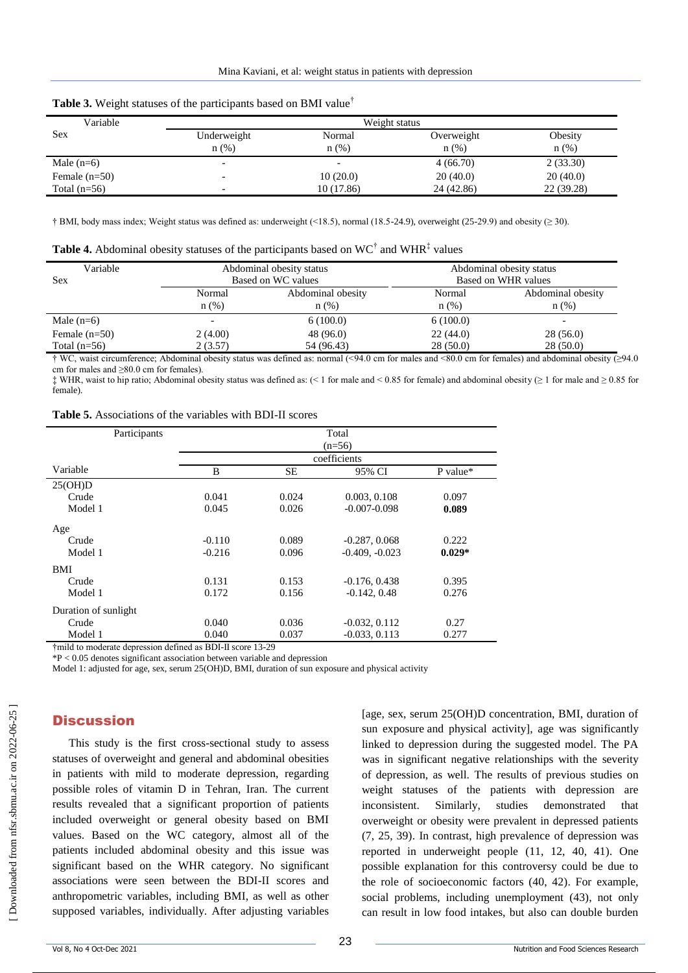| ີ               |               |            |            |            |  |
|-----------------|---------------|------------|------------|------------|--|
| Variable        | Weight status |            |            |            |  |
| <b>Sex</b>      | Underweight   | Normal     | Overweight | Obesity    |  |
|                 | $n(\%)$       | n(%)       | n(%)       | $n(\%)$    |  |
| Male $(n=6)$    |               |            | 4(66.70)   | 2(33.30)   |  |
| Female $(n=50)$ |               | 10(20.0)   | 20(40.0)   | 20(40.0)   |  |
| Total $(n=56)$  |               | 10 (17.86) | 24 (42.86) | 22 (39.28) |  |

|  | Table 3. Weight statuses of the participants based on BMI value <sup>†</sup> |  |  |  |  |  |
|--|------------------------------------------------------------------------------|--|--|--|--|--|
|--|------------------------------------------------------------------------------|--|--|--|--|--|

† BMI, body mass index; Weight status was defined as: underweight (<18.5), normal (18.5-24.9), overweight (25-29.9) and obesity (≥ 30).

|  | <b>Table 4.</b> Abdominal obesity statuses of the participants based on $WC^{\dagger}$ and $WHR^{\dagger}$ values |
|--|-------------------------------------------------------------------------------------------------------------------|
|--|-------------------------------------------------------------------------------------------------------------------|

| Variable<br>Sex | Abdominal obesity status<br>Based on WC values<br>Abdominal obesity<br>Normal<br>$n$ (%)<br>$n$ (%) |            | Abdominal obesity status<br>Based on WHR values |                              |
|-----------------|-----------------------------------------------------------------------------------------------------|------------|-------------------------------------------------|------------------------------|
|                 |                                                                                                     |            | Normal<br>$n(\%)$                               | Abdominal obesity<br>$n$ (%) |
| Male $(n=6)$    |                                                                                                     | 6(100.0)   | 6(100.0)                                        |                              |
| Female $(n=50)$ | 2(4.00)                                                                                             | 48 (96.0)  | 22(44.0)                                        | 28 (56.0)                    |
| Total $(n=56)$  | 2(3.57)                                                                                             | 54 (96.43) | 28(50.0)                                        | 28(50.0)                     |

† WC, waist circumference; Abdominal obesity status was defined as: normal (<94.0 cm for males and <80.0 cm for females) and abdominal obesity (≥94.0 cm for males and ≥80.0 cm for females).

 $\ddagger$  WHR, waist to hip ratio; Abdominal obesity status was defined as: (< 1 for male and < 0.85 for female) and abdominal obesity ( $\geq 1$  for male and  $\geq 0.85$  for female).

**Table 5.** Associations of the variables with BDI-II scores

| Participants         | Total    |       |                  |          |
|----------------------|----------|-------|------------------|----------|
|                      | $(n=56)$ |       |                  |          |
|                      |          |       | coefficients     |          |
| Variable             | B        | SЕ    | 95% CI           | P value* |
| 25(OH)D              |          |       |                  |          |
| Crude                | 0.041    | 0.024 | 0.003, 0.108     | 0.097    |
| Model 1              | 0.045    | 0.026 | $-0.007 - 0.098$ | 0.089    |
| Age                  |          |       |                  |          |
| Crude                | $-0.110$ | 0.089 | $-0.287, 0.068$  | 0.222    |
| Model 1              | $-0.216$ | 0.096 | $-0.409, -0.023$ | $0.029*$ |
| BMI                  |          |       |                  |          |
| Crude                | 0.131    | 0.153 | $-0.176, 0.438$  | 0.395    |
| Model 1              | 0.172    | 0.156 | $-0.142, 0.48$   | 0.276    |
| Duration of sunlight |          |       |                  |          |
| Crude                | 0.040    | 0.036 | $-0.032, 0.112$  | 0.27     |
| Model 1              | 0.040    | 0.037 | $-0.033, 0.113$  | 0.277    |
|                      |          |       |                  |          |

†mild to moderate depression defined as BDI-II score 13-29

\*P < 0.05 denotes significant association between variable and depression

Model 1: adjusted for age, sex, serum 25(OH)D, BMI, duration of sun exposure and physical activity

# **Discussion**

This study is the first cross-sectional study to assess statuses of overweight and general and abdominal obesities in patients with mild to moderate depression, regarding possible roles of vitamin D in Tehran, Iran. The current results revealed that a significant proportion of patients included overweight or general obesity based on BMI values. Based on the WC category, almost all of the patients included abdominal obesity and this issue was significant based on the WHR category. No significant associations were seen between the BDI-II scores and anthropometric variables, including BMI, as well as other supposed variables, individually. After adjusting variables [age, sex, serum 25(OH)D concentration, BMI, duration of sun exposure and physical activity], age was significantly linked to depression during the suggested model. The PA was in significant negative relationships with the severity of depression, as well. The results of previous studies on weight statuses of the patients with depression are inconsistent. Similarly, studies demonstrated that overweight or obesity were prevalent in depressed patients (7, 25, 39). In contrast, high prevalence of depression was reported in underweight people (11, 12, 40, 41). One possible explanation for this controversy could be due to the role of socioeconomic factors (40, 42). For example, social problems, including unemployment (43), not only can result in low food intakes, but also can double burden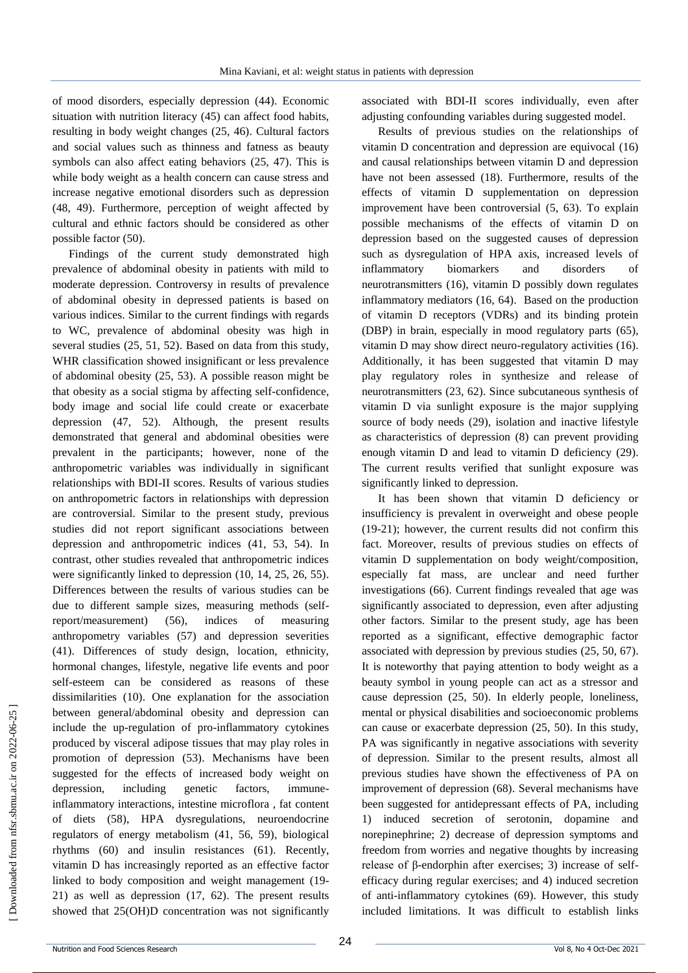of mood disorders, especially depression (44). Economic situation with nutrition literacy (45) can affect food habits, resulting in body weight changes (25, 46). Cultural factors and social values such as thinness and fatness as beauty symbols can also affect eating behaviors (25, 47). This is while body weight as a health concern can cause stress and increase negative emotional disorders such as depression (48, 49). Furthermore, perception of weight affected by cultural and ethnic factors should be considered as other possible factor (50).

Findings of the current study demonstrated high prevalence of abdominal obesity in patients with mild to moderate depression. Controversy in results of prevalence of abdominal obesity in depressed patients is based on various indices. Similar to the current findings with regards to WC, prevalence of abdominal obesity was high in several studies (25, 51, 52). Based on data from this study, WHR classification showed insignificant or less prevalence of abdominal obesity (25, 53). A possible reason might be that obesity as a social stigma by affecting self-confidence, body image and social life could create or exacerbate depression (47, 52). Although, the present results demonstrated that general and abdominal obesities were prevalent in the participants; however, none of the anthropometric variables was individually in significant relationships with BDI-II scores. Results of various studies on anthropometric factors in relationships with depression are controversial. Similar to the present study, previous studies did not report significant associations between depression and anthropometric indices (41, 53, 54). In contrast, other studies revealed that anthropometric indices were significantly linked to depression (10, 14, 25, 26, 55). Differences between the results of various studies can be due to different sample sizes, measuring methods (selfreport/measurement) (56), indices of measuring anthropometry variables (57) and depression severities (41). Differences of study design, location, ethnicity, hormonal changes, lifestyle, negative life events and poor self-esteem can be considered as reasons of these dissimilarities (10). One explanation for the association between general/abdominal obesity and depression can include the up-regulation of pro-inflammatory cytokines produced by visceral adipose tissues that may play roles in promotion of depression (53). Mechanisms have been suggested for the effects of increased body weight on depression, including genetic factors, immuneinflammatory interactions, intestine microflora , fat content of diets (58), HPA dysregulations, neuroendocrine regulators of energy metabolism (41, 56, 59), biological rhythms (60) and insulin resistances (61). Recently, vitamin D has increasingly reported as an effective factor linked to body composition and weight management (19- 21) as well as depression (17, 62). The present results showed that 25(OH)D concentration was not significantly associated with BDI-II scores individually, even after adjusting confounding variables during suggested model.

Results of previous studies on the relationships of vitamin D concentration and depression are equivocal (16) and causal relationships between vitamin D and depression have not been assessed (18). Furthermore, results of the effects of vitamin D supplementation on depression improvement have been controversial (5, 63). To explain possible mechanisms of the effects of vitamin D on depression based on the suggested causes of depression such as dysregulation of HPA axis, increased levels of inflammatory biomarkers and disorders of neurotransmitters (16), vitamin D possibly down regulates inflammatory mediators (16, 64). Based on the production of vitamin D receptors (VDRs) and its binding protein (DBP) in brain, especially in mood regulatory parts (65), vitamin D may show direct neuro-regulatory activities (16). Additionally, it has been suggested that vitamin D may play regulatory roles in synthesize and release of neurotransmitters (23, 62). Since subcutaneous synthesis of vitamin D via sunlight exposure is the major supplying source of body needs (29), isolation and inactive lifestyle as characteristics of depression (8) can prevent providing enough vitamin D and lead to vitamin D deficiency (29). The current results verified that sunlight exposure was significantly linked to depression.

It has been shown that vitamin D deficiency or insufficiency is prevalent in overweight and obese people (19-21); however, the current results did not confirm this fact. Moreover, results of previous studies on effects of vitamin D supplementation on body weight/composition, especially fat mass, are unclear and need further investigations (66). Current findings revealed that age was significantly associated to depression, even after adjusting other factors. Similar to the present study, age has been reported as a significant, effective demographic factor associated with depression by previous studies (25, 50, 67). It is noteworthy that paying attention to body weight as a beauty symbol in young people can act as a stressor and cause depression (25, 50). In elderly people, loneliness, mental or physical disabilities and socioeconomic problems can cause or exacerbate depression (25, 50). In this study, PA was significantly in negative associations with severity of depression. Similar to the present results, almost all previous studies have shown the effectiveness of PA on improvement of depression (68). Several mechanisms have been suggested for antidepressant effects of PA, including 1) induced secretion of serotonin, dopamine and norepinephrine; 2) decrease of depression symptoms and freedom from worries and negative thoughts by increasing release of β-endorphin after exercises; 3) increase of selfefficacy during regular exercises; and 4) induced secretion of anti-inflammatory cytokines (69). However, this study included limitations. It was difficult to establish links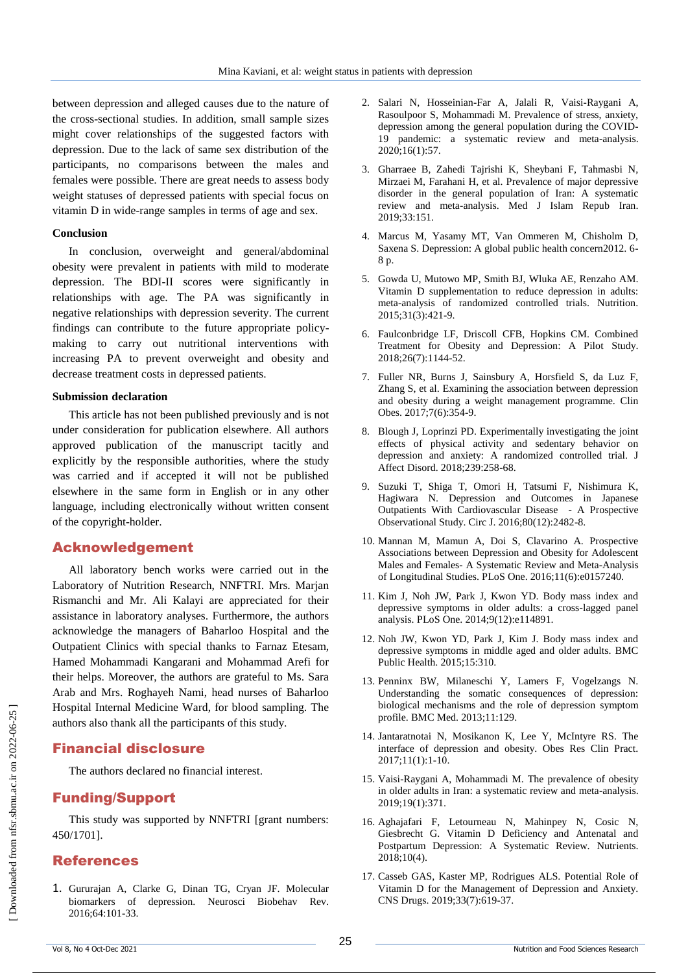between depression and alleged causes due to the nature of the cross-sectional studies. In addition, small sample sizes might cover relationships of the suggested factors with depression. Due to the lack of same sex distribution of the participants, no comparisons between the males and females were possible. There are great needs to assess body weight statuses of depressed patients with special focus on vitamin D in wide-range samples in terms of age and sex.

#### **Conclusion**

In conclusion, overweight and general/abdominal obesity were prevalent in patients with mild to moderate depression. The BDI-II scores were significantly in relationships with age. The PA was significantly in negative relationships with depression severity. The current findings can contribute to the future appropriate policymaking to carry out nutritional interventions with increasing PA to prevent overweight and obesity and decrease treatment costs in depressed patients.

#### **Submission declaration**

This article has not been published previously and is not under consideration for publication elsewhere. All authors approved publication of the manuscript tacitly and explicitly by the responsible authorities, where the study was carried and if accepted it will not be published elsewhere in the same form in English or in any other language, including electronically without written consent of the copyright-holder.

# Acknowledgement

All laboratory bench works were carried out in the Laboratory of Nutrition Research, NNFTRI. Mrs. Marjan Rismanchi and Mr. Ali Kalayi are appreciated for their assistance in laboratory analyses. Furthermore, the authors acknowledge the managers of Baharloo Hospital and the Outpatient Clinics with special thanks to Farnaz Etesam, Hamed Mohammadi Kangarani and Mohammad Arefi for their helps. Moreover, the authors are grateful to Ms. Sara Arab and Mrs. Roghayeh Nami, head nurses of Baharloo Hospital Internal Medicine Ward, for blood sampling. The authors also thank all the participants of this study.

# Financial disclosure

The authors declared no financial interest.

# Funding/Support

This study was supported by NNFTRI [grant numbers: 450/1701].

# References

1. Gururajan A, Clarke G, Dinan TG, Cryan JF. Molecular biomarkers of depression. Neurosci Biobehav Rev. 2016;64:101-33.

- 2. Salari N, Hosseinian-Far A, Jalali R, Vaisi-Raygani A, Rasoulpoor S, Mohammadi M. Prevalence of stress, anxiety, depression among the general population during the COVID-19 pandemic: a systematic review and meta-analysis. 2020;16(1):57.
- 3. Gharraee B, Zahedi Tajrishi K, Sheybani F, Tahmasbi N, Mirzaei M, Farahani H, et al. Prevalence of major depressive disorder in the general population of Iran: A systematic review and meta-analysis. Med J Islam Repub Iran. 2019;33:151.
- 4. Marcus M, Yasamy MT, Van Ommeren M, Chisholm D, Saxena S. Depression: A global public health concern2012. 6- 8 p.
- 5. Gowda U, Mutowo MP, Smith BJ, Wluka AE, Renzaho AM. Vitamin D supplementation to reduce depression in adults: meta-analysis of randomized controlled trials. Nutrition. 2015;31(3):421-9.
- 6. Faulconbridge LF, Driscoll CFB, Hopkins CM. Combined Treatment for Obesity and Depression: A Pilot Study. 2018;26(7):1144-52.
- 7. Fuller NR, Burns J, Sainsbury A, Horsfield S, da Luz F, Zhang S, et al. Examining the association between depression and obesity during a weight management programme. Clin Obes. 2017;7(6):354-9.
- 8. Blough J, Loprinzi PD. Experimentally investigating the joint effects of physical activity and sedentary behavior on depression and anxiety: A randomized controlled trial. J Affect Disord. 2018;239:258-68.
- 9. Suzuki T, Shiga T, Omori H, Tatsumi F, Nishimura K, Hagiwara N. Depression and Outcomes in Japanese Outpatients With Cardiovascular Disease - A Prospective Observational Study. Circ J. 2016;80(12):2482-8.
- 10. Mannan M, Mamun A, Doi S, Clavarino A. Prospective Associations between Depression and Obesity for Adolescent Males and Females- A Systematic Review and Meta-Analysis of Longitudinal Studies. PLoS One. 2016;11(6):e0157240.
- 11. Kim J, Noh JW, Park J, Kwon YD. Body mass index and depressive symptoms in older adults: a cross-lagged panel analysis. PLoS One. 2014;9(12):e114891.
- 12. Noh JW, Kwon YD, Park J, Kim J. Body mass index and depressive symptoms in middle aged and older adults. BMC Public Health. 2015;15:310.
- 13. Penninx BW, Milaneschi Y, Lamers F, Vogelzangs N. Understanding the somatic consequences of depression: biological mechanisms and the role of depression symptom profile. BMC Med. 2013;11:129.
- 14. Jantaratnotai N, Mosikanon K, Lee Y, McIntyre RS. The interface of depression and obesity. Obes Res Clin Pract. 2017;11(1):1-10.
- 15. Vaisi-Raygani A, Mohammadi M. The prevalence of obesity in older adults in Iran: a systematic review and meta-analysis. 2019;19(1):371.
- 16. Aghajafari F, Letourneau N, Mahinpey N, Cosic N, Giesbrecht G. Vitamin D Deficiency and Antenatal and Postpartum Depression: A Systematic Review. Nutrients. 2018;10(4).
- 17. Casseb GAS, Kaster MP, Rodrigues ALS. Potential Role of Vitamin D for the Management of Depression and Anxiety. CNS Drugs. 2019;33(7):619-37.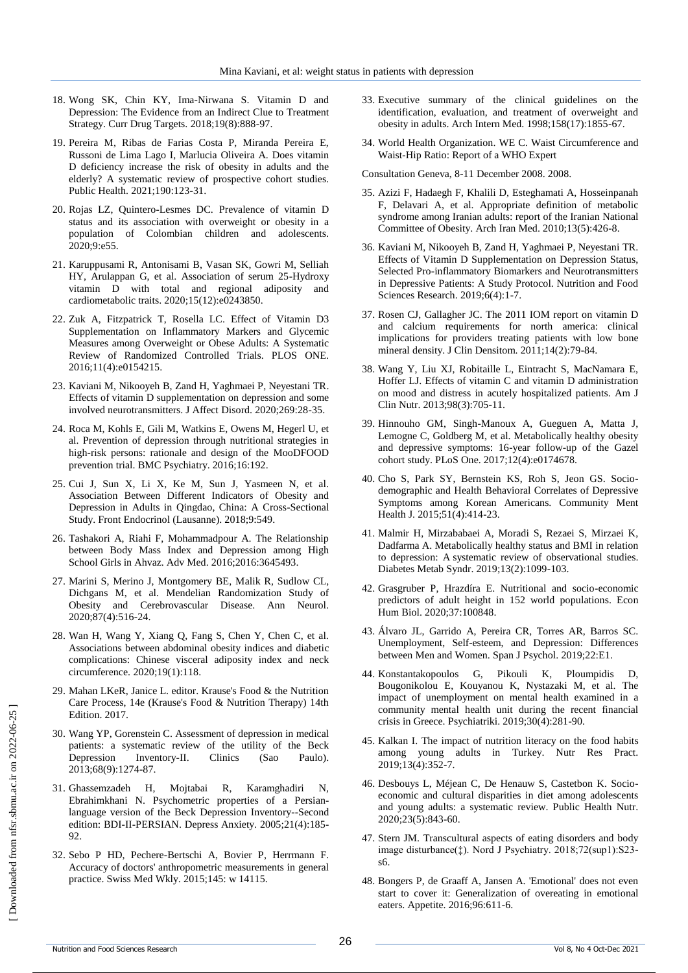- 18. Wong SK, Chin KY, Ima-Nirwana S. Vitamin D and Depression: The Evidence from an Indirect Clue to Treatment Strategy. Curr Drug Targets. 2018;19(8):888-97.
- 19. Pereira M, Ribas de Farias Costa P, Miranda Pereira E, Russoni de Lima Lago I, Marlucia Oliveira A. Does vitamin D deficiency increase the risk of obesity in adults and the elderly? A systematic review of prospective cohort studies. Public Health. 2021;190:123-31.
- 20. Rojas LZ, Quintero-Lesmes DC. Prevalence of vitamin D status and its association with overweight or obesity in a population of Colombian children and adolescents. 2020;9:e55.
- 21. Karuppusami R, Antonisami B, Vasan SK, Gowri M, Selliah HY, Arulappan G, et al. Association of serum 25-Hydroxy vitamin D with total and regional adiposity and cardiometabolic traits. 2020;15(12):e0243850.
- 22. Zuk A, Fitzpatrick T, Rosella LC. Effect of Vitamin D3 Supplementation on Inflammatory Markers and Glycemic Measures among Overweight or Obese Adults: A Systematic Review of Randomized Controlled Trials. PLOS ONE. 2016;11(4):e0154215.
- 23. Kaviani M, Nikooyeh B, Zand H, Yaghmaei P, Neyestani TR. Effects of vitamin D supplementation on depression and some involved neurotransmitters. J Affect Disord. 2020;269:28-35.
- 24. Roca M, Kohls E, Gili M, Watkins E, Owens M, Hegerl U, et al. Prevention of depression through nutritional strategies in high-risk persons: rationale and design of the MooDFOOD prevention trial. BMC Psychiatry. 2016;16:192.
- 25. Cui J, Sun X, Li X, Ke M, Sun J, Yasmeen N, et al. Association Between Different Indicators of Obesity and Depression in Adults in Qingdao, China: A Cross-Sectional Study. Front Endocrinol (Lausanne). 2018;9:549.
- 26. Tashakori A, Riahi F, Mohammadpour A. The Relationship between Body Mass Index and Depression among High School Girls in Ahvaz. Adv Med. 2016;2016:3645493.
- 27. Marini S, Merino J, Montgomery BE, Malik R, Sudlow CL, Dichgans M, et al. Mendelian Randomization Study of Obesity and Cerebrovascular Disease. Ann Neurol. 2020;87(4):516-24.
- 28. Wan H, Wang Y, Xiang Q, Fang S, Chen Y, Chen C, et al. Associations between abdominal obesity indices and diabetic complications: Chinese visceral adiposity index and neck circumference. 2020;19(1):118.
- 29. Mahan LKeR, Janice L. editor. Krause's Food & the Nutrition Care Process, 14e (Krause's Food & Nutrition Therapy) 14th Edition. 2017.
- 30. Wang YP, Gorenstein C. Assessment of depression in medical patients: a systematic review of the utility of the Beck Depression Inventory-II. Clinics (Sao Paulo). 2013;68(9):1274-87.
- 31. Ghassemzadeh H, Mojtabai R, Karamghadiri N, Ebrahimkhani N. Psychometric properties of a Persianlanguage version of the Beck Depression Inventory--Second edition: BDI-II-PERSIAN. Depress Anxiety. 2005;21(4):185- 92.
- 32. Sebo P HD, Pechere-Bertschi A, Bovier P, Herrmann F. Accuracy of doctors' anthropometric measurements in general practice. Swiss Med Wkly. 2015;145: w 14115.
- 33. Executive summary of the clinical guidelines on the identification, evaluation, and treatment of overweight and obesity in adults. Arch Intern Med. 1998;158(17):1855-67.
- 34. World Health Organization. WE C. Waist Circumference and Waist-Hip Ratio: Report of a WHO Expert

Consultation Geneva, 8-11 December 2008. 2008.

- 35. Azizi F, Hadaegh F, Khalili D, Esteghamati A, Hosseinpanah F, Delavari A, et al. Appropriate definition of metabolic syndrome among Iranian adults: report of the Iranian National Committee of Obesity. Arch Iran Med. 2010;13(5):426-8.
- 36. Kaviani M, Nikooyeh B, Zand H, Yaghmaei P, Neyestani TR. Effects of Vitamin D Supplementation on Depression Status, Selected Pro-inflammatory Biomarkers and Neurotransmitters in Depressive Patients: A Study Protocol. Nutrition and Food Sciences Research. 2019;6(4):1-7.
- 37. Rosen CJ, Gallagher JC. The 2011 IOM report on vitamin D and calcium requirements for north america: clinical implications for providers treating patients with low bone mineral density. J Clin Densitom. 2011;14(2):79-84.
- 38. Wang Y, Liu XJ, Robitaille L, Eintracht S, MacNamara E, Hoffer LJ. Effects of vitamin C and vitamin D administration on mood and distress in acutely hospitalized patients. Am J Clin Nutr. 2013;98(3):705-11.
- 39. Hinnouho GM, Singh-Manoux A, Gueguen A, Matta J, Lemogne C, Goldberg M, et al. Metabolically healthy obesity and depressive symptoms: 16-year follow-up of the Gazel cohort study. PLoS One. 2017;12(4):e0174678.
- 40. Cho S, Park SY, Bernstein KS, Roh S, Jeon GS. Sociodemographic and Health Behavioral Correlates of Depressive Symptoms among Korean Americans. Community Ment Health J. 2015;51(4):414-23.
- 41. Malmir H, Mirzababaei A, Moradi S, Rezaei S, Mirzaei K, Dadfarma A. Metabolically healthy status and BMI in relation to depression: A systematic review of observational studies. Diabetes Metab Syndr. 2019;13(2):1099-103.
- 42. Grasgruber P, Hrazdíra E. Nutritional and socio-economic predictors of adult height in 152 world populations. Econ Hum Biol. 2020;37:100848.
- 43. Álvaro JL, Garrido A, Pereira CR, Torres AR, Barros SC. Unemployment, Self-esteem, and Depression: Differences between Men and Women. Span J Psychol. 2019;22:E1.
- 44. Konstantakopoulos G, Pikouli K, Ploumpidis D, Bougonikolou E, Kouyanou K, Nystazaki M, et al. The impact of unemployment on mental health examined in a community mental health unit during the recent financial crisis in Greece. Psychiatriki. 2019;30(4):281-90.
- 45. Kalkan I. The impact of nutrition literacy on the food habits among young adults in Turkey. Nutr Res Pract. 2019;13(4):352-7.
- 46. Desbouys L, Méjean C, De Henauw S, Castetbon K. Socioeconomic and cultural disparities in diet among adolescents and young adults: a systematic review. Public Health Nutr. 2020;23(5):843-60.
- 47. Stern JM. Transcultural aspects of eating disorders and body image disturbance(‡). Nord J Psychiatry. 2018;72(sup1):S23 s6.
- 48. Bongers P, de Graaff A, Jansen A. 'Emotional' does not even start to cover it: Generalization of overeating in emotional eaters. Appetite. 2016;96:611-6.